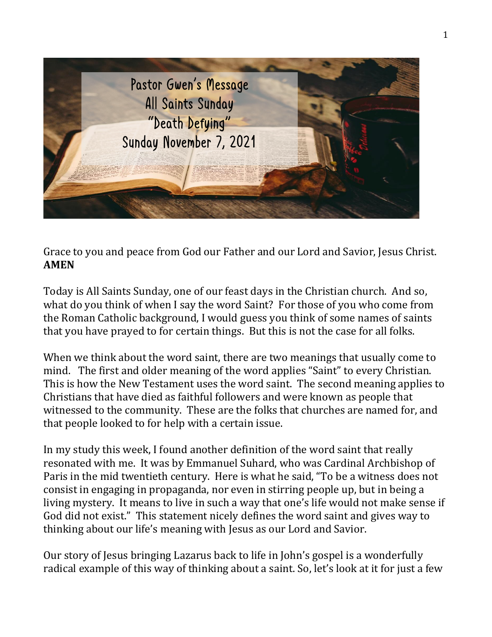

Grace to you and peace from God our Father and our Lord and Savior, Jesus Christ. **AMEN**

Today is All Saints Sunday, one of our feast days in the Christian church. And so, what do you think of when I say the word Saint? For those of you who come from the Roman Catholic background, I would guess you think of some names of saints that you have prayed to for certain things. But this is not the case for all folks.

When we think about the word saint, there are two meanings that usually come to mind. The first and older meaning of the word applies "Saint" to every Christian. This is how the New Testament uses the word saint. The second meaning applies to Christians that have died as faithful followers and were known as people that witnessed to the community. These are the folks that churches are named for, and that people looked to for help with a certain issue.

In my study this week, I found another definition of the word saint that really resonated with me. It was by Emmanuel Suhard, who was Cardinal Archbishop of Paris in the mid twentieth century. Here is what he said, "To be a witness does not consist in engaging in propaganda, nor even in stirring people up, but in being a living mystery. It means to live in such a way that one's life would not make sense if God did not exist." This statement nicely defines the word saint and gives way to thinking about our life's meaning with Jesus as our Lord and Savior.

Our story of Jesus bringing Lazarus back to life in John's gospel is a wonderfully radical example of this way of thinking about a saint. So, let's look at it for just a few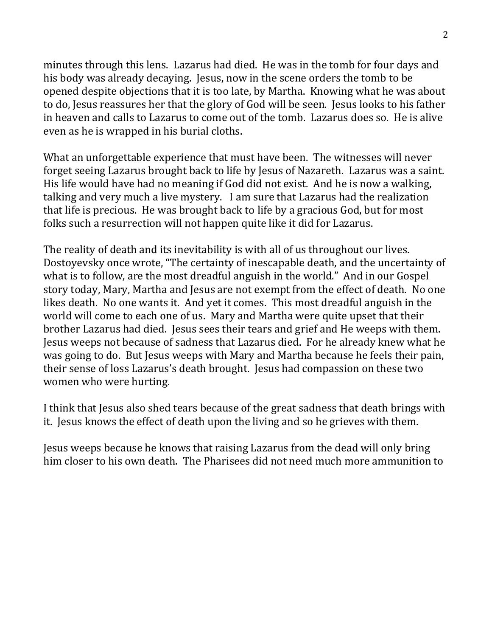minutes through this lens. Lazarus had died. He was in the tomb for four days and his body was already decaying. Jesus, now in the scene orders the tomb to be opened despite objections that it is too late, by Martha. Knowing what he was about to do, Jesus reassures her that the glory of God will be seen. Jesus looks to his father in heaven and calls to Lazarus to come out of the tomb. Lazarus does so. He is alive even as he is wrapped in his burial cloths.

What an unforgettable experience that must have been. The witnesses will never forget seeing Lazarus brought back to life by Jesus of Nazareth. Lazarus was a saint. His life would have had no meaning if God did not exist. And he is now a walking, talking and very much a live mystery. I am sure that Lazarus had the realization that life is precious. He was brought back to life by a gracious God, but for most folks such a resurrection will not happen quite like it did for Lazarus.

The reality of death and its inevitability is with all of us throughout our lives. Dostoyevsky once wrote, "The certainty of inescapable death, and the uncertainty of what is to follow, are the most dreadful anguish in the world." And in our Gospel story today, Mary, Martha and Jesus are not exempt from the effect of death. No one likes death. No one wants it. And yet it comes. This most dreadful anguish in the world will come to each one of us. Mary and Martha were quite upset that their brother Lazarus had died. Jesus sees their tears and grief and He weeps with them. Jesus weeps not because of sadness that Lazarus died. For he already knew what he was going to do. But Jesus weeps with Mary and Martha because he feels their pain, their sense of loss Lazarus's death brought. Jesus had compassion on these two women who were hurting.

I think that Jesus also shed tears because of the great sadness that death brings with it. Jesus knows the effect of death upon the living and so he grieves with them.

Jesus weeps because he knows that raising Lazarus from the dead will only bring him closer to his own death. The Pharisees did not need much more ammunition to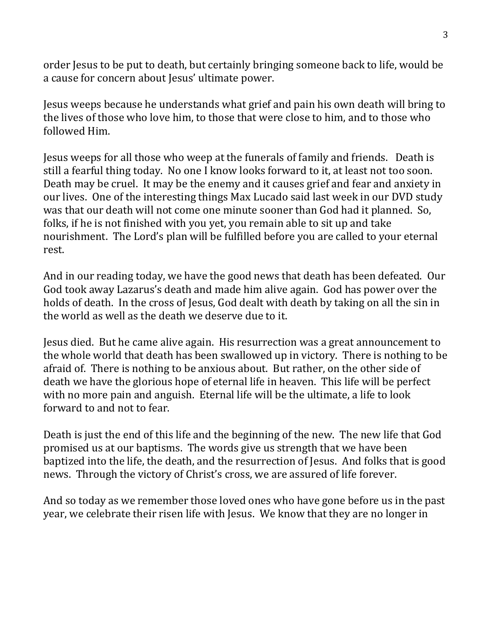order Jesus to be put to death, but certainly bringing someone back to life, would be a cause for concern about Jesus' ultimate power.

Jesus weeps because he understands what grief and pain his own death will bring to the lives of those who love him, to those that were close to him, and to those who followed Him.

Jesus weeps for all those who weep at the funerals of family and friends. Death is still a fearful thing today. No one I know looks forward to it, at least not too soon. Death may be cruel. It may be the enemy and it causes grief and fear and anxiety in our lives. One of the interesting things Max Lucado said last week in our DVD study was that our death will not come one minute sooner than God had it planned. So, folks, if he is not finished with you yet, you remain able to sit up and take nourishment. The Lord's plan will be fulfilled before you are called to your eternal rest.

And in our reading today, we have the good news that death has been defeated. Our God took away Lazarus's death and made him alive again. God has power over the holds of death. In the cross of Jesus, God dealt with death by taking on all the sin in the world as well as the death we deserve due to it.

Jesus died. But he came alive again. His resurrection was a great announcement to the whole world that death has been swallowed up in victory. There is nothing to be afraid of. There is nothing to be anxious about. But rather, on the other side of death we have the glorious hope of eternal life in heaven. This life will be perfect with no more pain and anguish. Eternal life will be the ultimate, a life to look forward to and not to fear.

Death is just the end of this life and the beginning of the new. The new life that God promised us at our baptisms. The words give us strength that we have been baptized into the life, the death, and the resurrection of Jesus. And folks that is good news. Through the victory of Christ's cross, we are assured of life forever.

And so today as we remember those loved ones who have gone before us in the past year, we celebrate their risen life with Jesus. We know that they are no longer in